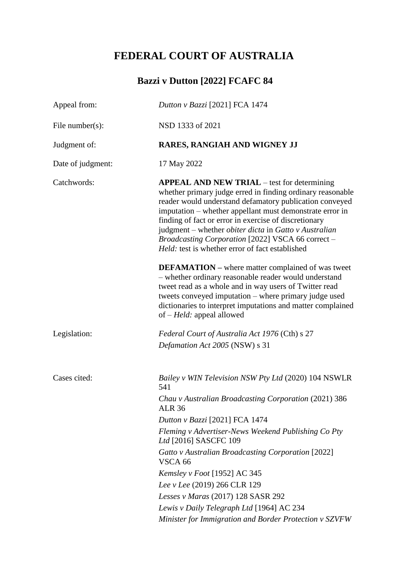# **FEDERAL COURT OF AUSTRALIA**

# **Bazzi v Dutton [2022] FCAFC 84**

| Appeal from:      | Dutton v Bazzi [2021] FCA 1474                                                                                                                                                                                                                                                                                                                                                                                                                                           |
|-------------------|--------------------------------------------------------------------------------------------------------------------------------------------------------------------------------------------------------------------------------------------------------------------------------------------------------------------------------------------------------------------------------------------------------------------------------------------------------------------------|
| File number(s):   | NSD 1333 of 2021                                                                                                                                                                                                                                                                                                                                                                                                                                                         |
| Judgment of:      | RARES, RANGIAH AND WIGNEY JJ                                                                                                                                                                                                                                                                                                                                                                                                                                             |
| Date of judgment: | 17 May 2022                                                                                                                                                                                                                                                                                                                                                                                                                                                              |
| Catchwords:       | <b>APPEAL AND NEW TRIAL</b> – test for determining<br>whether primary judge erred in finding ordinary reasonable<br>reader would understand defamatory publication conveyed<br>imputation - whether appellant must demonstrate error in<br>finding of fact or error in exercise of discretionary<br>judgment – whether <i>obiter dicta</i> in Gatto v Australian<br>Broadcasting Corporation [2022] VSCA 66 correct -<br>Held: test is whether error of fact established |
|                   | <b>DEFAMATION</b> – where matter complained of was tweet<br>- whether ordinary reasonable reader would understand<br>tweet read as a whole and in way users of Twitter read<br>tweets conveyed imputation - where primary judge used<br>dictionaries to interpret imputations and matter complained<br>of $-Held$ : appeal allowed                                                                                                                                       |
| Legislation:      | Federal Court of Australia Act 1976 (Cth) s 27<br>Defamation Act 2005 (NSW) s 31                                                                                                                                                                                                                                                                                                                                                                                         |
| Cases cited:      | Bailey v WIN Television NSW Pty Ltd (2020) 104 NSWLR<br>541                                                                                                                                                                                                                                                                                                                                                                                                              |
|                   | Chau v Australian Broadcasting Corporation (2021) 386<br><b>ALR 36</b>                                                                                                                                                                                                                                                                                                                                                                                                   |
|                   | Dutton v Bazzi [2021] FCA 1474                                                                                                                                                                                                                                                                                                                                                                                                                                           |
|                   | Fleming v Advertiser-News Weekend Publishing Co Pty<br>Ltd [2016] SASCFC 109                                                                                                                                                                                                                                                                                                                                                                                             |
|                   | Gatto v Australian Broadcasting Corporation [2022]<br>VSCA <sub>66</sub>                                                                                                                                                                                                                                                                                                                                                                                                 |
|                   | Kemsley v Foot [1952] AC 345                                                                                                                                                                                                                                                                                                                                                                                                                                             |
|                   | Lee v Lee (2019) 266 CLR 129                                                                                                                                                                                                                                                                                                                                                                                                                                             |
|                   | Lesses v Maras (2017) 128 SASR 292                                                                                                                                                                                                                                                                                                                                                                                                                                       |
|                   | Lewis v Daily Telegraph Ltd [1964] AC 234                                                                                                                                                                                                                                                                                                                                                                                                                                |
|                   | Minister for Immigration and Border Protection v SZVFW                                                                                                                                                                                                                                                                                                                                                                                                                   |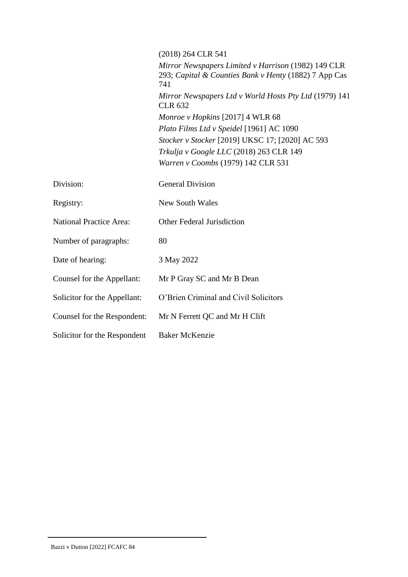|                                | (2018) 264 CLR 541                                                                                                  |
|--------------------------------|---------------------------------------------------------------------------------------------------------------------|
|                                | Mirror Newspapers Limited v Harrison (1982) 149 CLR<br>293; Capital & Counties Bank v Henty (1882) 7 App Cas<br>741 |
|                                | Mirror Newspapers Ltd v World Hosts Pty Ltd (1979) 141<br><b>CLR 632</b>                                            |
|                                | Monroe v Hopkins [2017] 4 WLR 68                                                                                    |
|                                | Plato Films Ltd v Speidel [1961] AC 1090                                                                            |
|                                | Stocker v Stocker [2019] UKSC 17; [2020] AC 593                                                                     |
|                                | Trkulja v Google LLC (2018) 263 CLR 149                                                                             |
|                                | Warren v Coombs (1979) 142 CLR 531                                                                                  |
| Division:                      | <b>General Division</b>                                                                                             |
| Registry:                      | <b>New South Wales</b>                                                                                              |
| <b>National Practice Area:</b> | <b>Other Federal Jurisdiction</b>                                                                                   |
| Number of paragraphs:          | 80                                                                                                                  |
| Date of hearing:               | 3 May 2022                                                                                                          |
| Counsel for the Appellant:     | Mr P Gray SC and Mr B Dean                                                                                          |
| Solicitor for the Appellant:   | O'Brien Criminal and Civil Solicitors                                                                               |
| Counsel for the Respondent:    | Mr N Ferrett QC and Mr H Clift                                                                                      |
| Solicitor for the Respondent   | <b>Baker McKenzie</b>                                                                                               |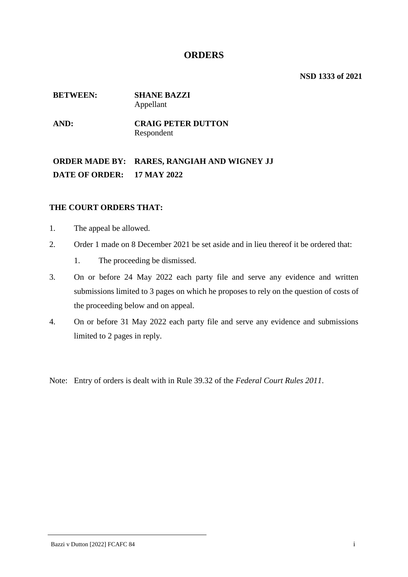## **ORDERS**

**NSD 1333 of 2021**

### **BETWEEN: SHANE BAZZI** Appellant

**AND: CRAIG PETER DUTTON** Respondent

**ORDER MADE BY: RARES, RANGIAH AND WIGNEY JJ DATE OF ORDER: 17 MAY 2022**

## **THE COURT ORDERS THAT:**

- 1. The appeal be allowed.
- 2. Order 1 made on 8 December 2021 be set aside and in lieu thereof it be ordered that:
	- 1. The proceeding be dismissed.
- 3. On or before 24 May 2022 each party file and serve any evidence and written submissions limited to 3 pages on which he proposes to rely on the question of costs of the proceeding below and on appeal.
- 4. On or before 31 May 2022 each party file and serve any evidence and submissions limited to 2 pages in reply.

Note: Entry of orders is dealt with in Rule 39.32 of the *Federal Court Rules 2011*.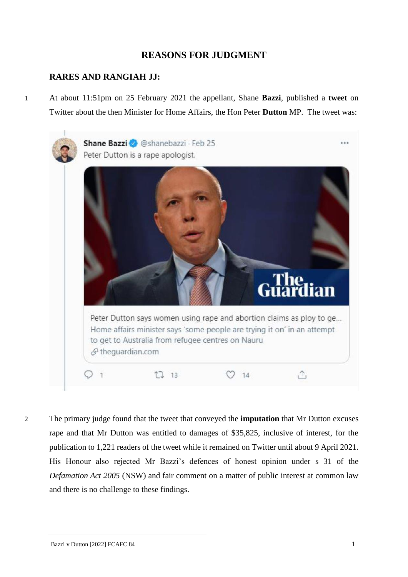# **REASONS FOR JUDGMENT**

## **RARES AND RANGIAH JJ:**

1 At about 11:51pm on 25 February 2021 the appellant, Shane **Bazzi**, published a **tweet** on Twitter about the then Minister for Home Affairs, the Hon Peter **Dutton** MP. The tweet was:



2 The primary judge found that the tweet that conveyed the **imputation** that Mr Dutton excuses rape and that Mr Dutton was entitled to damages of \$35,825, inclusive of interest, for the publication to 1,221 readers of the tweet while it remained on Twitter until about 9 April 2021. His Honour also rejected Mr Bazzi's defences of honest opinion under s 31 of the *Defamation Act 2005* (NSW) and fair comment on a matter of public interest at common law and there is no challenge to these findings.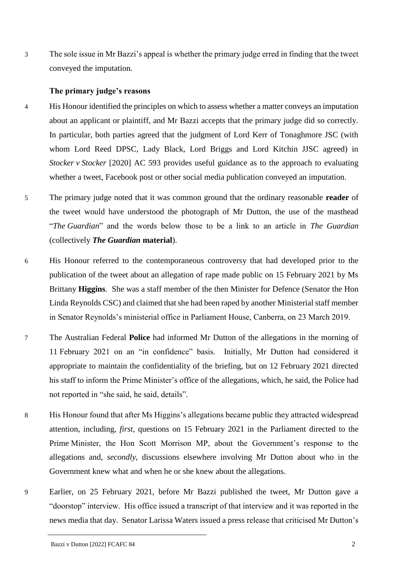3 The sole issue in Mr Bazzi's appeal is whether the primary judge erred in finding that the tweet conveyed the imputation.

## **The primary judge's reasons**

- 4 His Honour identified the principles on which to assess whether a matter conveys an imputation about an applicant or plaintiff, and Mr Bazzi accepts that the primary judge did so correctly. In particular, both parties agreed that the judgment of Lord Kerr of Tonaghmore JSC (with whom Lord Reed DPSC, Lady Black, Lord Briggs and Lord Kitchin JJSC agreed) in *Stocker v Stocker* [2020] AC 593 provides useful guidance as to the approach to evaluating whether a tweet, Facebook post or other social media publication conveyed an imputation.
- 5 The primary judge noted that it was common ground that the ordinary reasonable **reader** of the tweet would have understood the photograph of Mr Dutton, the use of the masthead "*The Guardian*" and the words below those to be a link to an article in *The Guardian* (collectively *The Guardian* **material**).
- 6 His Honour referred to the contemporaneous controversy that had developed prior to the publication of the tweet about an allegation of rape made public on 15 February 2021 by Ms Brittany **Higgins**. She was a staff member of the then Minister for Defence (Senator the Hon Linda Reynolds CSC) and claimed that she had been raped by another Ministerial staff member in Senator Reynolds's ministerial office in Parliament House, Canberra, on 23 March 2019.
- 7 The Australian Federal **Police** had informed Mr Dutton of the allegations in the morning of 11 February 2021 on an "in confidence" basis. Initially, Mr Dutton had considered it appropriate to maintain the confidentiality of the briefing, but on 12 February 2021 directed his staff to inform the Prime Minister's office of the allegations, which, he said, the Police had not reported in "she said, he said, details".
- 8 His Honour found that after Ms Higgins's allegations became public they attracted widespread attention, including, *first*, questions on 15 February 2021 in the Parliament directed to the Prime Minister, the Hon Scott Morrison MP, about the Government's response to the allegations and, *secondly*, discussions elsewhere involving Mr Dutton about who in the Government knew what and when he or she knew about the allegations.
- 9 Earlier, on 25 February 2021, before Mr Bazzi published the tweet, Mr Dutton gave a "doorstop" interview. His office issued a transcript of that interview and it was reported in the news media that day. Senator Larissa Waters issued a press release that criticised Mr Dutton's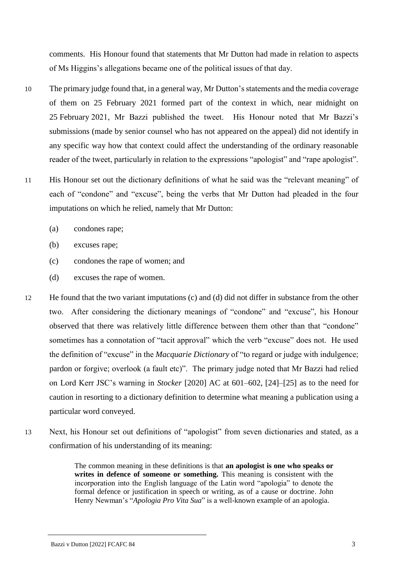comments. His Honour found that statements that Mr Dutton had made in relation to aspects of Ms Higgins's allegations became one of the political issues of that day.

- 10 The primary judge found that, in a general way, Mr Dutton's statements and the media coverage of them on 25 February 2021 formed part of the context in which, near midnight on 25 February 2021, Mr Bazzi published the tweet. His Honour noted that Mr Bazzi's submissions (made by senior counsel who has not appeared on the appeal) did not identify in any specific way how that context could affect the understanding of the ordinary reasonable reader of the tweet, particularly in relation to the expressions "apologist" and "rape apologist".
- 11 His Honour set out the dictionary definitions of what he said was the "relevant meaning" of each of "condone" and "excuse", being the verbs that Mr Dutton had pleaded in the four imputations on which he relied, namely that Mr Dutton:
	- (a) condones rape;
	- (b) excuses rape;
	- (c) condones the rape of women; and
	- (d) excuses the rape of women.
- 12 He found that the two variant imputations (c) and (d) did not differ in substance from the other two. After considering the dictionary meanings of "condone" and "excuse", his Honour observed that there was relatively little difference between them other than that "condone" sometimes has a connotation of "tacit approval" which the verb "excuse" does not. He used the definition of "excuse" in the *Macquarie Dictionary* of "to regard or judge with indulgence; pardon or forgive; overlook (a fault etc)". The primary judge noted that Mr Bazzi had relied on Lord Kerr JSC's warning in *Stocker* [2020] AC at 601–602, [24]–[25] as to the need for caution in resorting to a dictionary definition to determine what meaning a publication using a particular word conveyed.
- 13 Next, his Honour set out definitions of "apologist" from seven dictionaries and stated, as a confirmation of his understanding of its meaning:

The common meaning in these definitions is that **an apologist is one who speaks or writes in defence of someone or something.** This meaning is consistent with the incorporation into the English language of the Latin word "apologia" to denote the formal defence or justification in speech or writing, as of a cause or doctrine. John Henry Newman's "*Apologia Pro Vita Sua*" is a well-known example of an apologia.

#### Bazzi v Dutton [2022] FCAFC 84 3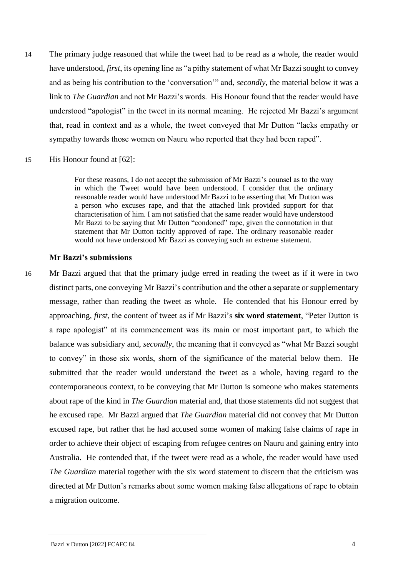- 14 The primary judge reasoned that while the tweet had to be read as a whole, the reader would have understood, *first*, its opening line as "a pithy statement of what Mr Bazzi sought to convey and as being his contribution to the 'conversation'" and, *secondly*, the material below it was a link to *The Guardian* and not Mr Bazzi's words. His Honour found that the reader would have understood "apologist" in the tweet in its normal meaning. He rejected Mr Bazzi's argument that, read in context and as a whole, the tweet conveyed that Mr Dutton "lacks empathy or sympathy towards those women on Nauru who reported that they had been raped".
- 15 His Honour found at [62]:

For these reasons, I do not accept the submission of Mr Bazzi's counsel as to the way in which the Tweet would have been understood. I consider that the ordinary reasonable reader would have understood Mr Bazzi to be asserting that Mr Dutton was a person who excuses rape, and that the attached link provided support for that characterisation of him. I am not satisfied that the same reader would have understood Mr Bazzi to be saying that Mr Dutton "condoned" rape, given the connotation in that statement that Mr Dutton tacitly approved of rape. The ordinary reasonable reader would not have understood Mr Bazzi as conveying such an extreme statement.

### **Mr Bazzi's submissions**

16 Mr Bazzi argued that that the primary judge erred in reading the tweet as if it were in two distinct parts, one conveying Mr Bazzi's contribution and the other a separate or supplementary message, rather than reading the tweet as whole. He contended that his Honour erred by approaching, *first*, the content of tweet as if Mr Bazzi's **six word statement**, "Peter Dutton is a rape apologist" at its commencement was its main or most important part, to which the balance was subsidiary and, *secondly*, the meaning that it conveyed as "what Mr Bazzi sought to convey" in those six words, shorn of the significance of the material below them. He submitted that the reader would understand the tweet as a whole, having regard to the contemporaneous context, to be conveying that Mr Dutton is someone who makes statements about rape of the kind in *The Guardian* material and, that those statements did not suggest that he excused rape. Mr Bazzi argued that *The Guardian* material did not convey that Mr Dutton excused rape, but rather that he had accused some women of making false claims of rape in order to achieve their object of escaping from refugee centres on Nauru and gaining entry into Australia. He contended that, if the tweet were read as a whole, the reader would have used *The Guardian* material together with the six word statement to discern that the criticism was directed at Mr Dutton's remarks about some women making false allegations of rape to obtain a migration outcome.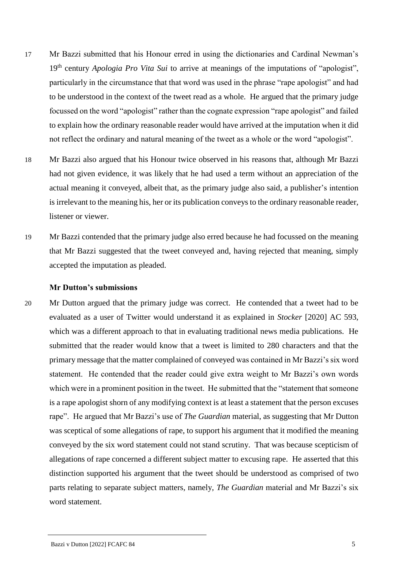- 17 Mr Bazzi submitted that his Honour erred in using the dictionaries and Cardinal Newman's 19th century *Apologia Pro Vita Sui* to arrive at meanings of the imputations of "apologist", particularly in the circumstance that that word was used in the phrase "rape apologist" and had to be understood in the context of the tweet read as a whole. He argued that the primary judge focussed on the word "apologist" rather than the cognate expression "rape apologist" and failed to explain how the ordinary reasonable reader would have arrived at the imputation when it did not reflect the ordinary and natural meaning of the tweet as a whole or the word "apologist".
- 18 Mr Bazzi also argued that his Honour twice observed in his reasons that, although Mr Bazzi had not given evidence, it was likely that he had used a term without an appreciation of the actual meaning it conveyed, albeit that, as the primary judge also said, a publisher's intention is irrelevant to the meaning his, her or its publication conveys to the ordinary reasonable reader, listener or viewer.
- 19 Mr Bazzi contended that the primary judge also erred because he had focussed on the meaning that Mr Bazzi suggested that the tweet conveyed and, having rejected that meaning, simply accepted the imputation as pleaded.

#### **Mr Dutton's submissions**

20 Mr Dutton argued that the primary judge was correct. He contended that a tweet had to be evaluated as a user of Twitter would understand it as explained in *Stocker* [2020] AC 593, which was a different approach to that in evaluating traditional news media publications. He submitted that the reader would know that a tweet is limited to 280 characters and that the primary message that the matter complained of conveyed was contained in Mr Bazzi's six word statement. He contended that the reader could give extra weight to Mr Bazzi's own words which were in a prominent position in the tweet. He submitted that the "statement that someone is a rape apologist shorn of any modifying context is at least a statement that the person excuses rape". He argued that Mr Bazzi's use of *The Guardian* material, as suggesting that Mr Dutton was sceptical of some allegations of rape, to support his argument that it modified the meaning conveyed by the six word statement could not stand scrutiny. That was because scepticism of allegations of rape concerned a different subject matter to excusing rape. He asserted that this distinction supported his argument that the tweet should be understood as comprised of two parts relating to separate subject matters, namely, *The Guardian* material and Mr Bazzi's six word statement.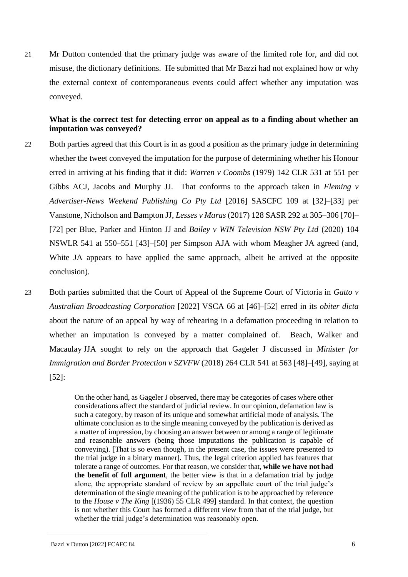21 Mr Dutton contended that the primary judge was aware of the limited role for, and did not misuse, the dictionary definitions. He submitted that Mr Bazzi had not explained how or why the external context of contemporaneous events could affect whether any imputation was conveyed.

## **What is the correct test for detecting error on appeal as to a finding about whether an imputation was conveyed?**

- 22 Both parties agreed that this Court is in as good a position as the primary judge in determining whether the tweet conveyed the imputation for the purpose of determining whether his Honour erred in arriving at his finding that it did: *Warren v Coombs* (1979) 142 CLR 531 at 551 per Gibbs ACJ, Jacobs and Murphy JJ. That conforms to the approach taken in *Fleming v Advertiser-News Weekend Publishing Co Pty Ltd* [2016] SASCFC 109 at [32]–[33] per Vanstone, Nicholson and Bampton JJ, *Lesses v Maras* (2017) 128 SASR 292 at 305–306 [70]– [72] per Blue, Parker and Hinton JJ and *Bailey v WIN Television NSW Pty Ltd* (2020) 104 NSWLR 541 at 550–551 [43]–[50] per Simpson AJA with whom Meagher JA agreed (and, White JA appears to have applied the same approach, albeit he arrived at the opposite conclusion).
- 23 Both parties submitted that the Court of Appeal of the Supreme Court of Victoria in *Gatto v Australian Broadcasting Corporation* [2022] VSCA 66 at [46]–[52] erred in its *obiter dicta*  about the nature of an appeal by way of rehearing in a defamation proceeding in relation to whether an imputation is conveyed by a matter complained of. Beach, Walker and Macaulay JJA sought to rely on the approach that Gageler J discussed in *Minister for Immigration and Border Protection v SZVFW* (2018) 264 CLR 541 at 563 [48]–[49], saying at [52]:

On the other hand, as Gageler J observed, there may be categories of cases where other considerations affect the standard of judicial review. In our opinion, defamation law is such a category, by reason of its unique and somewhat artificial mode of analysis. The ultimate conclusion as to the single meaning conveyed by the publication is derived as a matter of impression, by choosing an answer between or among a range of legitimate and reasonable answers (being those imputations the publication is capable of conveying). [That is so even though, in the present case, the issues were presented to the trial judge in a binary manner]. Thus, the legal criterion applied has features that tolerate a range of outcomes. For that reason, we consider that, **while we have not had the benefit of full argument**, the better view is that in a defamation trial by judge alone, the appropriate standard of review by an appellate court of the trial judge's determination of the single meaning of the publication is to be approached by reference to the *House v The King* [(1936) 55 CLR 499] standard. In that context, the question is not whether this Court has formed a different view from that of the trial judge, but whether the trial judge's determination was reasonably open.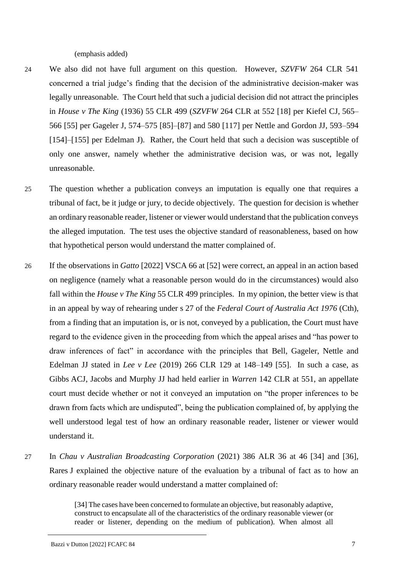(emphasis added)

- 24 We also did not have full argument on this question. However, *SZVFW* 264 CLR 541 concerned a trial judge's finding that the decision of the administrative decision-maker was legally unreasonable. The Court held that such a judicial decision did not attract the principles in *House v The King* (1936) 55 CLR 499 (*SZVFW* 264 CLR at 552 [18] per Kiefel CJ, 565– 566 [55] per Gageler J, 574–575 [85]–[87] and 580 [117] per Nettle and Gordon JJ, 593–594 [154]–[155] per Edelman J). Rather, the Court held that such a decision was susceptible of only one answer, namely whether the administrative decision was, or was not, legally unreasonable.
- 25 The question whether a publication conveys an imputation is equally one that requires a tribunal of fact, be it judge or jury, to decide objectively. The question for decision is whether an ordinary reasonable reader, listener or viewer would understand that the publication conveys the alleged imputation. The test uses the objective standard of reasonableness, based on how that hypothetical person would understand the matter complained of.
- 26 If the observations in *Gatto* [2022] VSCA 66 at [52] were correct, an appeal in an action based on negligence (namely what a reasonable person would do in the circumstances) would also fall within the *House v The King* 55 CLR 499 principles. In my opinion, the better view is that in an appeal by way of rehearing under s 27 of the *Federal Court of Australia Act 1976* (Cth), from a finding that an imputation is, or is not, conveyed by a publication, the Court must have regard to the evidence given in the proceeding from which the appeal arises and "has power to draw inferences of fact" in accordance with the principles that Bell, Gageler, Nettle and Edelman JJ stated in *Lee v Lee* (2019) 266 CLR 129 at 148–149 [55]. In such a case, as Gibbs ACJ, Jacobs and Murphy JJ had held earlier in *Warren* 142 CLR at 551, an appellate court must decide whether or not it conveyed an imputation on "the proper inferences to be drawn from facts which are undisputed", being the publication complained of, by applying the well understood legal test of how an ordinary reasonable reader, listener or viewer would understand it.
- 27 In *Chau v Australian Broadcasting Corporation* (2021) 386 ALR 36 at 46 [34] and [36], Rares J explained the objective nature of the evaluation by a tribunal of fact as to how an ordinary reasonable reader would understand a matter complained of:

[34] The cases have been concerned to formulate an objective, but reasonably adaptive, construct to encapsulate all of the characteristics of the ordinary reasonable viewer (or reader or listener, depending on the medium of publication). When almost all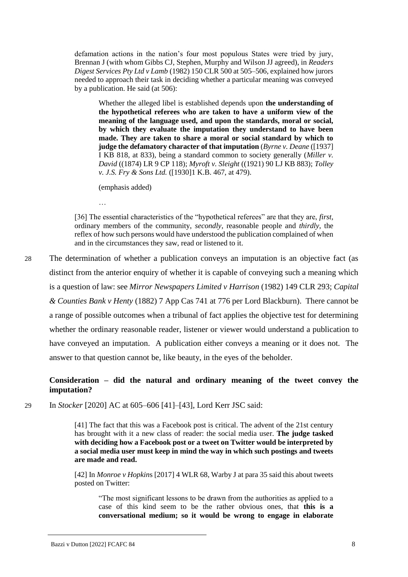defamation actions in the nation's four most populous States were tried by jury, Brennan J (with whom Gibbs CJ, Stephen, Murphy and Wilson JJ agreed), in *Readers Digest Services Pty Ltd v Lamb* (1982) 150 CLR 500 at 505–506, explained how jurors needed to approach their task in deciding whether a particular meaning was conveyed by a publication. He said (at 506):

Whether the alleged libel is established depends upon **the understanding of the hypothetical referees who are taken to have a uniform view of the meaning of the language used, and upon the standards, moral or social, by which they evaluate the imputation they understand to have been made. They are taken to share a moral or social standard by which to judge the defamatory character of that imputation** (*Byrne v. Deane* ([1937] I KB 818, at 833), being a standard common to society generally (*Miller v. David* ((1874) LR 9 CP 118); *Myroft v. Sleight* ((1921) 90 LJ KB 883); *Tolley v. J.S. Fry & Sons Ltd.* ([1930]1 K.B. 467, at 479).

(emphasis added)

…

[36] The essential characteristics of the "hypothetical referees" are that they are, *first*, ordinary members of the community, *secondly*, reasonable people and *thirdly*, the reflex of how such persons would have understood the publication complained of when and in the circumstances they saw, read or listened to it.

28 The determination of whether a publication conveys an imputation is an objective fact (as distinct from the anterior enquiry of whether it is capable of conveying such a meaning which is a question of law: see *Mirror Newspapers Limited v Harrison* (1982) 149 CLR 293; *Capital & Counties Bank v Henty* (1882) 7 App Cas 741 at 776 per Lord Blackburn). There cannot be a range of possible outcomes when a tribunal of fact applies the objective test for determining whether the ordinary reasonable reader, listener or viewer would understand a publication to have conveyed an imputation. A publication either conveys a meaning or it does not. The answer to that question cannot be, like beauty, in the eyes of the beholder.

## **Consideration – did the natural and ordinary meaning of the tweet convey the imputation?**

29 In *Stocker* [2020] AC at 605–606 [41]–[43], Lord Kerr JSC said:

[41] The fact that this was a Facebook post is critical. The advent of the 21st century has brought with it a new class of reader: the social media user. **The judge tasked with deciding how a Facebook post or a tweet on Twitter would be interpreted by a social media user must keep in mind the way in which such postings and tweets are made and read.**

[42] In *Monroe v Hopkin*s [2017] 4 WLR 68, Warby J at para 35 said this about tweets posted on Twitter:

"The most significant lessons to be drawn from the authorities as applied to a case of this kind seem to be the rather obvious ones, that **this is a conversational medium; so it would be wrong to engage in elaborate**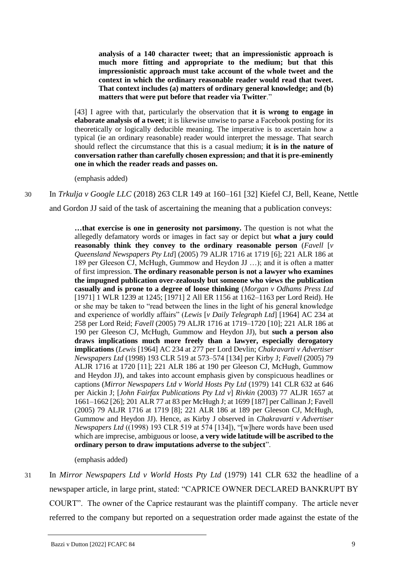**analysis of a 140 character tweet; that an impressionistic approach is much more fitting and appropriate to the medium; but that this impressionistic approach must take account of the whole tweet and the context in which the ordinary reasonable reader would read that tweet. That context includes (a) matters of ordinary general knowledge; and (b) matters that were put before that reader via Twitter**."

[43] I agree with that, particularly the observation that **it is wrong to engage in elaborate analysis of a tweet**; it is likewise unwise to parse a Facebook posting for its theoretically or logically deducible meaning. The imperative is to ascertain how a typical (ie an ordinary reasonable) reader would interpret the message. That search should reflect the circumstance that this is a casual medium; **it is in the nature of conversation rather than carefully chosen expression; and that it is pre-eminently one in which the reader reads and passes on.**

(emphasis added)

30 In *Trkulja v Google LLC* (2018) 263 CLR 149 at 160–161 [32] Kiefel CJ, Bell, Keane, Nettle

and Gordon JJ said of the task of ascertaining the meaning that a publication conveys:

**…that exercise is one in generosity not parsimony.** The question is not what the allegedly defamatory words or images in fact say or depict but **what a jury could reasonably think they convey to the ordinary reasonable person** (*Favell* [*v Queensland Newspapers Pty Ltd*] (2005) 79 ALJR 1716 at 1719 [6]; 221 ALR 186 at 189 per Gleeson CJ, McHugh, Gummow and Heydon JJ …); and it is often a matter of first impression. **The ordinary reasonable person is not a lawyer who examines the impugned publication over-zealously but someone who views the publication casually and is prone to a degree of loose thinking** (*Morgan v Odhams Press Ltd*  [1971] 1 WLR 1239 at 1245; [1971] 2 All ER 1156 at 1162–1163 per Lord Reid). He or she may be taken to "read between the lines in the light of his general knowledge and experience of worldly affairs" (*Lewis* [*v Daily Telegraph Ltd*] [1964] AC 234 at 258 per Lord Reid; *Favell* (2005) 79 ALJR 1716 at 1719–1720 [10]; 221 ALR 186 at 190 per Gleeson CJ, McHugh, Gummow and Heydon JJ), but **such a person also draws implications much more freely than a lawyer, especially derogatory implications** (*Lewis* [1964] AC 234 at 277 per Lord Devlin; *Chakravarti v Advertiser Newspapers Ltd* (1998) 193 CLR 519 at 573–574 [134] per Kirby J; *Favell* (2005) 79 ALJR 1716 at 1720 [11]; 221 ALR 186 at 190 per Gleeson CJ, McHugh, Gummow and Heydon JJ), and takes into account emphasis given by conspicuous headlines or captions (*Mirror Newspapers Ltd v World Hosts Pty Ltd* (1979) 141 CLR 632 at 646 per Aickin J; [*John Fairfax Publications Pty Ltd v*] *Rivkin* (2003) 77 ALJR 1657 at 1661–1662 [26]; 201 ALR 77 at 83 per McHugh J; at 1699 [187] per Callinan J; Favell (2005) 79 ALJR 1716 at 1719 [8]; 221 ALR 186 at 189 per Gleeson CJ, McHugh, Gummow and Heydon JJ). Hence, as Kirby J observed in *Chakravarti v Advertiser Newspapers Ltd* ((1998) 193 CLR 519 at 574 [134]), "[w]here words have been used which are imprecise, ambiguous or loose, **a very wide latitude will be ascribed to the ordinary person to draw imputations adverse to the subject**".

(emphasis added)

31 In *Mirror Newspapers Ltd v World Hosts Pty Ltd* (1979) 141 CLR 632 the headline of a newspaper article, in large print, stated: "CAPRICE OWNER DECLARED BANKRUPT BY COURT". The owner of the Caprice restaurant was the plaintiff company. The article never referred to the company but reported on a sequestration order made against the estate of the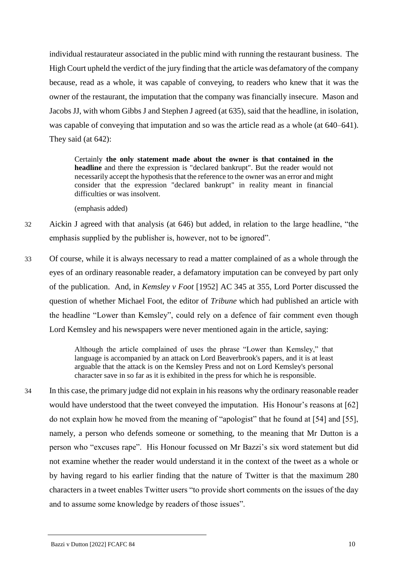individual restaurateur associated in the public mind with running the restaurant business. The High Court upheld the verdict of the jury finding that the article was defamatory of the company because, read as a whole, it was capable of conveying, to readers who knew that it was the owner of the restaurant, the imputation that the company was financially insecure. Mason and Jacobs JJ, with whom Gibbs J and Stephen J agreed (at 635), said that the headline, in isolation, was capable of conveying that imputation and so was the article read as a whole (at  $640-641$ ). They said (at 642):

Certainly **the only statement made about the owner is that contained in the headline** and there the expression is "declared bankrupt". But the reader would not necessarily accept the hypothesis that the reference to the owner was an error and might consider that the expression "declared bankrupt" in reality meant in financial difficulties or was insolvent.

(emphasis added)

- 32 Aickin J agreed with that analysis (at 646) but added, in relation to the large headline, "the emphasis supplied by the publisher is, however, not to be ignored".
- 33 Of course, while it is always necessary to read a matter complained of as a whole through the eyes of an ordinary reasonable reader, a defamatory imputation can be conveyed by part only of the publication. And, in *Kemsley v Foot* [1952] AC 345 at 355, Lord Porter discussed the question of whether Michael Foot, the editor of *Tribune* which had published an article with the headline "Lower than Kemsley", could rely on a defence of fair comment even though Lord Kemsley and his newspapers were never mentioned again in the article, saying:

Although the article complained of uses the phrase "Lower than Kemsley," that language is accompanied by an attack on Lord Beaverbrook's papers, and it is at least arguable that the attack is on the Kemsley Press and not on Lord Kemsley's personal character save in so far as it is exhibited in the press for which he is responsible.

34 In this case, the primary judge did not explain in his reasons why the ordinary reasonable reader would have understood that the tweet conveyed the imputation. His Honour's reasons at [62] do not explain how he moved from the meaning of "apologist" that he found at [54] and [55], namely, a person who defends someone or something, to the meaning that Mr Dutton is a person who "excuses rape". His Honour focussed on Mr Bazzi's six word statement but did not examine whether the reader would understand it in the context of the tweet as a whole or by having regard to his earlier finding that the nature of Twitter is that the maximum 280 characters in a tweet enables Twitter users "to provide short comments on the issues of the day and to assume some knowledge by readers of those issues".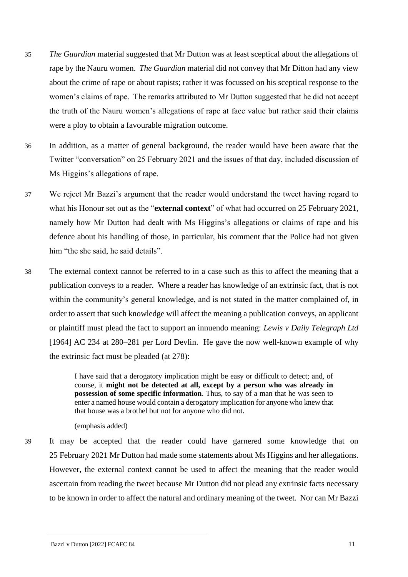- 35 *The Guardian* material suggested that Mr Dutton was at least sceptical about the allegations of rape by the Nauru women. *The Guardian* material did not convey that Mr Ditton had any view about the crime of rape or about rapists; rather it was focussed on his sceptical response to the women's claims of rape. The remarks attributed to Mr Dutton suggested that he did not accept the truth of the Nauru women's allegations of rape at face value but rather said their claims were a ploy to obtain a favourable migration outcome.
- 36 In addition, as a matter of general background, the reader would have been aware that the Twitter "conversation" on 25 February 2021 and the issues of that day, included discussion of Ms Higgins's allegations of rape.
- 37 We reject Mr Bazzi's argument that the reader would understand the tweet having regard to what his Honour set out as the "**external context**" of what had occurred on 25 February 2021, namely how Mr Dutton had dealt with Ms Higgins's allegations or claims of rape and his defence about his handling of those, in particular, his comment that the Police had not given him "the she said, he said details".
- 38 The external context cannot be referred to in a case such as this to affect the meaning that a publication conveys to a reader. Where a reader has knowledge of an extrinsic fact, that is not within the community's general knowledge, and is not stated in the matter complained of, in order to assert that such knowledge will affect the meaning a publication conveys, an applicant or plaintiff must plead the fact to support an innuendo meaning: *Lewis v Daily Telegraph Ltd*  [1964] AC 234 at 280–281 per Lord Devlin. He gave the now well-known example of why the extrinsic fact must be pleaded (at 278):

I have said that a derogatory implication might be easy or difficult to detect; and, of course, it **might not be detected at all, except by a person who was already in possession of some specific information**. Thus, to say of a man that he was seen to enter a named house would contain a derogatory implication for anyone who knew that that house was a brothel but not for anyone who did not.

(emphasis added)

39 It may be accepted that the reader could have garnered some knowledge that on 25 February 2021 Mr Dutton had made some statements about Ms Higgins and her allegations. However, the external context cannot be used to affect the meaning that the reader would ascertain from reading the tweet because Mr Dutton did not plead any extrinsic facts necessary to be known in order to affect the natural and ordinary meaning of the tweet. Nor can Mr Bazzi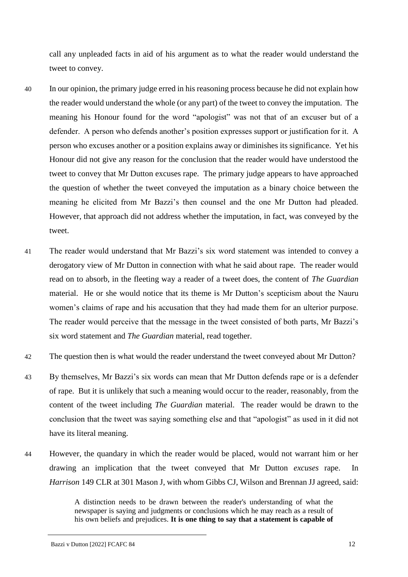call any unpleaded facts in aid of his argument as to what the reader would understand the tweet to convey.

- 40 In our opinion, the primary judge erred in his reasoning process because he did not explain how the reader would understand the whole (or any part) of the tweet to convey the imputation. The meaning his Honour found for the word "apologist" was not that of an excuser but of a defender. A person who defends another's position expresses support or justification for it. A person who excuses another or a position explains away or diminishes its significance. Yet his Honour did not give any reason for the conclusion that the reader would have understood the tweet to convey that Mr Dutton excuses rape. The primary judge appears to have approached the question of whether the tweet conveyed the imputation as a binary choice between the meaning he elicited from Mr Bazzi's then counsel and the one Mr Dutton had pleaded. However, that approach did not address whether the imputation, in fact, was conveyed by the tweet.
- 41 The reader would understand that Mr Bazzi's six word statement was intended to convey a derogatory view of Mr Dutton in connection with what he said about rape. The reader would read on to absorb, in the fleeting way a reader of a tweet does, the content of *The Guardian*  material. He or she would notice that its theme is Mr Dutton's scepticism about the Nauru women's claims of rape and his accusation that they had made them for an ulterior purpose. The reader would perceive that the message in the tweet consisted of both parts, Mr Bazzi's six word statement and *The Guardian* material, read together.
- 42 The question then is what would the reader understand the tweet conveyed about Mr Dutton?
- 43 By themselves, Mr Bazzi's six words can mean that Mr Dutton defends rape or is a defender of rape. But it is unlikely that such a meaning would occur to the reader, reasonably, from the content of the tweet including *The Guardian* material. The reader would be drawn to the conclusion that the tweet was saying something else and that "apologist" as used in it did not have its literal meaning.
- 44 However, the quandary in which the reader would be placed, would not warrant him or her drawing an implication that the tweet conveyed that Mr Dutton *excuses* rape. In *Harrison* 149 CLR at 301 Mason J, with whom Gibbs CJ, Wilson and Brennan JJ agreed, said:

A distinction needs to be drawn between the reader's understanding of what the newspaper is saying and judgments or conclusions which he may reach as a result of his own beliefs and prejudices. **It is one thing to say that a statement is capable of**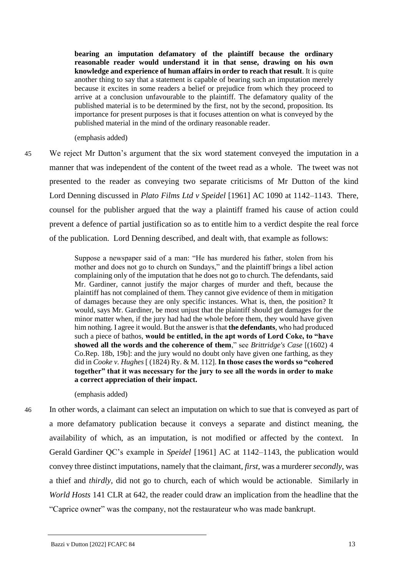**bearing an imputation defamatory of the plaintiff because the ordinary reasonable reader would understand it in that sense, drawing on his own knowledge and experience of human affairs in order to reach that result**. It is quite another thing to say that a statement is capable of bearing such an imputation merely because it excites in some readers a belief or prejudice from which they proceed to arrive at a conclusion unfavourable to the plaintiff. The defamatory quality of the published material is to be determined by the first, not by the second, proposition. Its importance for present purposes is that it focuses attention on what is conveyed by the published material in the mind of the ordinary reasonable reader.

(emphasis added)

45 We reject Mr Dutton's argument that the six word statement conveyed the imputation in a manner that was independent of the content of the tweet read as a whole. The tweet was not presented to the reader as conveying two separate criticisms of Mr Dutton of the kind Lord Denning discussed in *Plato Films Ltd v Speidel* [1961] AC 1090 at 1142–1143. There, counsel for the publisher argued that the way a plaintiff framed his cause of action could prevent a defence of partial justification so as to entitle him to a verdict despite the real force of the publication. Lord Denning described, and dealt with, that example as follows:

> Suppose a newspaper said of a man: "He has murdered his father, stolen from his mother and does not go to church on Sundays," and the plaintiff brings a libel action complaining only of the imputation that he does not go to church. The defendants, said Mr. Gardiner, cannot justify the major charges of murder and theft, because the plaintiff has not complained of them. They cannot give evidence of them in mitigation of damages because they are only specific instances. What is, then, the position? It would, says Mr. Gardiner, be most unjust that the plaintiff should get damages for the minor matter when, if the jury had had the whole before them, they would have given him nothing. I agree it would. But the answer is that **the defendants**, who had produced such a piece of bathos, **would be entitled, in the apt words of Lord Coke, to "have showed all the words and the coherence of them**," see *Brittridge's Case* [(1602) 4 Co.Rep. 18b, 19b]: and the jury would no doubt only have given one farthing, as they did in *Cooke v. Hughes* [ (1824) Ry. & M. 112]. **In those cases the words so "cohered together" that it was necessary for the jury to see all the words in order to make a correct appreciation of their impact.**

(emphasis added)

46 In other words, a claimant can select an imputation on which to sue that is conveyed as part of a more defamatory publication because it conveys a separate and distinct meaning, the availability of which, as an imputation, is not modified or affected by the context. In Gerald Gardiner QC's example in *Speidel* [1961] AC at 1142–1143, the publication would convey three distinct imputations, namely that the claimant, *first*, was a murderer *secondly*, was a thief and *thirdly*, did not go to church, each of which would be actionable. Similarly in *World Hosts* 141 CLR at 642, the reader could draw an implication from the headline that the "Caprice owner" was the company, not the restaurateur who was made bankrupt.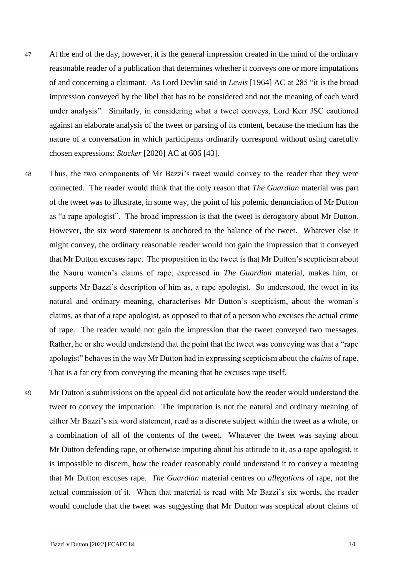- 47 At the end of the day, however, it is the general impression created in the mind of the ordinary reasonable reader of a publication that determines whether it conveys one or more imputations of and concerning a claimant. As Lord Devlin said in *Lewis* [1964] AC at 285 "it is the broad impression conveyed by the libel that has to be considered and not the meaning of each word under analysis". Similarly, in considering what a tweet conveys, Lord Kerr JSC cautioned against an elaborate analysis of the tweet or parsing of its content, because the medium has the nature of a conversation in which participants ordinarily correspond without using carefully chosen expressions: *Stocker* [2020] AC at 606 [43].
- 48 Thus, the two components of Mr Bazzi's tweet would convey to the reader that they were connected. The reader would think that the only reason that *The Guardian* material was part of the tweet was to illustrate, in some way, the point of his polemic denunciation of Mr Dutton as "a rape apologist". The broad impression is that the tweet is derogatory about Mr Dutton. However, the six word statement is anchored to the balance of the tweet. Whatever else it might convey, the ordinary reasonable reader would not gain the impression that it conveyed that Mr Dutton excuses rape. The proposition in the tweet is that Mr Dutton's scepticism about the Nauru women's claims of rape, expressed in *The Guardian* material, makes him, or supports Mr Bazzi's description of him as, a rape apologist. So understood, the tweet in its natural and ordinary meaning, characterises Mr Dutton's scepticism, about the woman's claims, as that of a rape apologist, as opposed to that of a person who excuses the actual crime of rape. The reader would not gain the impression that the tweet conveyed two messages. Rather, he or she would understand that the point that the tweet was conveying was that a "rape apologist" behaves in the way Mr Dutton had in expressing scepticism about the *claims* of rape. That is a far cry from conveying the meaning that he excuses rape itself.
- 49 Mr Dutton's submissions on the appeal did not articulate how the reader would understand the tweet to convey the imputation. The imputation is not the natural and ordinary meaning of either Mr Bazzi's six word statement, read as a discrete subject within the tweet as a whole, or a combination of all of the contents of the tweet. Whatever the tweet was saying about Mr Dutton defending rape, or otherwise imputing about his attitude to it, as a rape apologist, it is impossible to discern, how the reader reasonably could understand it to convey a meaning that Mr Dutton excuses rape. *The Guardian* material centres on *allegations* of rape, not the actual commission of it. When that material is read with Mr Bazzi's six words, the reader would conclude that the tweet was suggesting that Mr Dutton was sceptical about claims of

Bazzi v Dutton [2022] FCAFC 84 14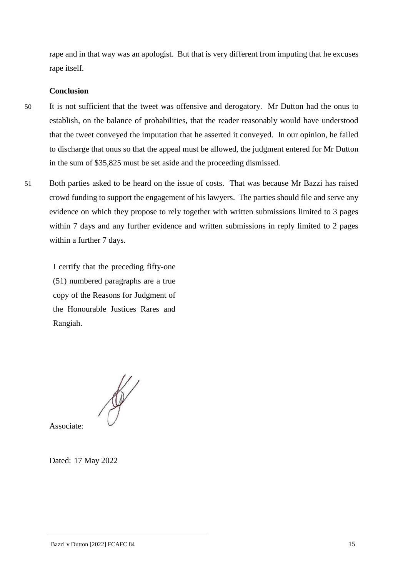rape and in that way was an apologist. But that is very different from imputing that he excuses rape itself.

## **Conclusion**

- 50 It is not sufficient that the tweet was offensive and derogatory. Mr Dutton had the onus to establish, on the balance of probabilities, that the reader reasonably would have understood that the tweet conveyed the imputation that he asserted it conveyed. In our opinion, he failed to discharge that onus so that the appeal must be allowed, the judgment entered for Mr Dutton in the sum of \$35,825 must be set aside and the proceeding dismissed.
- 51 Both parties asked to be heard on the issue of costs. That was because Mr Bazzi has raised crowd funding to support the engagement of his lawyers. The parties should file and serve any evidence on which they propose to rely together with written submissions limited to 3 pages within 7 days and any further evidence and written submissions in reply limited to 2 pages within a further 7 days.

I certify that the preceding fifty-one (51) numbered paragraphs are a true copy of the Reasons for Judgment of the Honourable Justices Rares and Rangiah.

Associate:

Dated: 17 May 2022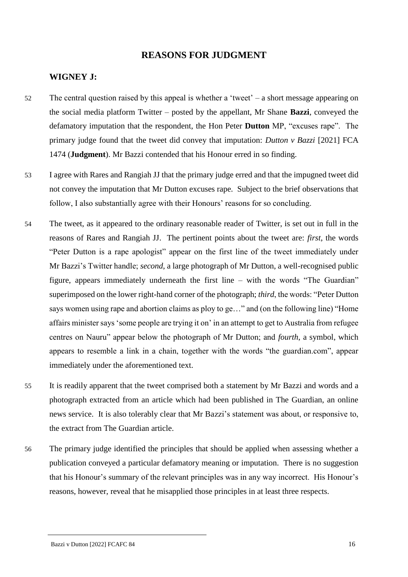## **REASONS FOR JUDGMENT**

## **WIGNEY J:**

- 52 The central question raised by this appeal is whether a 'tweet' a short message appearing on the social media platform Twitter – posted by the appellant, Mr Shane **Bazzi**, conveyed the defamatory imputation that the respondent, the Hon Peter **Dutton** MP, "excuses rape". The primary judge found that the tweet did convey that imputation: *Dutton v Bazzi* [2021] FCA 1474 (**Judgment**). Mr Bazzi contended that his Honour erred in so finding.
- 53 I agree with Rares and Rangiah JJ that the primary judge erred and that the impugned tweet did not convey the imputation that Mr Dutton excuses rape. Subject to the brief observations that follow, I also substantially agree with their Honours' reasons for so concluding.
- 54 The tweet, as it appeared to the ordinary reasonable reader of Twitter, is set out in full in the reasons of Rares and Rangiah JJ. The pertinent points about the tweet are: *first*, the words "Peter Dutton is a rape apologist" appear on the first line of the tweet immediately under Mr Bazzi's Twitter handle; *second*, a large photograph of Mr Dutton, a well-recognised public figure, appears immediately underneath the first line – with the words "The Guardian" superimposed on the lower right-hand corner of the photograph; *third*, the words: "Peter Dutton says women using rape and abortion claims as ploy to ge…" and (on the following line) "Home affairs minister says 'some people are trying it on' in an attempt to get to Australia from refugee centres on Nauru" appear below the photograph of Mr Dutton; and *fourth*, a symbol, which appears to resemble a link in a chain, together with the words "the guardian.com", appear immediately under the aforementioned text.
- 55 It is readily apparent that the tweet comprised both a statement by Mr Bazzi and words and a photograph extracted from an article which had been published in The Guardian, an online news service. It is also tolerably clear that Mr Bazzi's statement was about, or responsive to, the extract from The Guardian article.
- 56 The primary judge identified the principles that should be applied when assessing whether a publication conveyed a particular defamatory meaning or imputation. There is no suggestion that his Honour's summary of the relevant principles was in any way incorrect. His Honour's reasons, however, reveal that he misapplied those principles in at least three respects.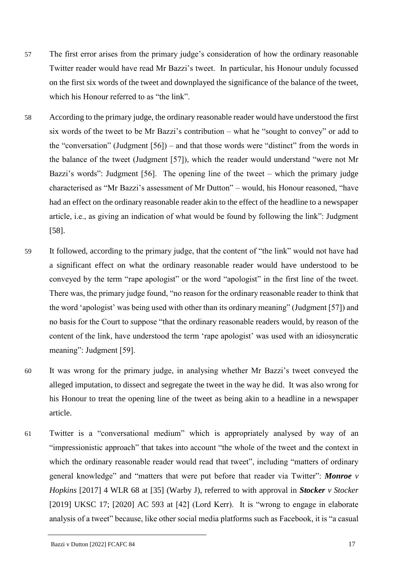- 57 The first error arises from the primary judge's consideration of how the ordinary reasonable Twitter reader would have read Mr Bazzi's tweet. In particular, his Honour unduly focussed on the first six words of the tweet and downplayed the significance of the balance of the tweet, which his Honour referred to as "the link".
- 58 According to the primary judge, the ordinary reasonable reader would have understood the first six words of the tweet to be Mr Bazzi's contribution – what he "sought to convey" or add to the "conversation" (Judgment [56]) – and that those words were "distinct" from the words in the balance of the tweet (Judgment [57]), which the reader would understand "were not Mr Bazzi's words": Judgment [56]. The opening line of the tweet – which the primary judge characterised as "Mr Bazzi's assessment of Mr Dutton" – would, his Honour reasoned, "have had an effect on the ordinary reasonable reader akin to the effect of the headline to a newspaper article, i.e., as giving an indication of what would be found by following the link": Judgment [58].
- 59 It followed, according to the primary judge, that the content of "the link" would not have had a significant effect on what the ordinary reasonable reader would have understood to be conveyed by the term "rape apologist" or the word "apologist" in the first line of the tweet. There was, the primary judge found, "no reason for the ordinary reasonable reader to think that the word 'apologist' was being used with other than its ordinary meaning" (Judgment [57]) and no basis for the Court to suppose "that the ordinary reasonable readers would, by reason of the content of the link, have understood the term 'rape apologist' was used with an idiosyncratic meaning": Judgment [59].
- 60 It was wrong for the primary judge, in analysing whether Mr Bazzi's tweet conveyed the alleged imputation, to dissect and segregate the tweet in the way he did. It was also wrong for his Honour to treat the opening line of the tweet as being akin to a headline in a newspaper article.
- 61 Twitter is a "conversational medium" which is appropriately analysed by way of an "impressionistic approach" that takes into account "the whole of the tweet and the context in which the ordinary reasonable reader would read that tweet", including "matters of ordinary general knowledge" and "matters that were put before that reader via Twitter": *Monroe v Hopkins* [2017] 4 WLR 68 at [35] (Warby J), referred to with approval in *Stocker v Stocker* [2019] UKSC 17; [2020] AC 593 at [42] (Lord Kerr). It is "wrong to engage in elaborate analysis of a tweet" because, like other social media platforms such as Facebook, it is "a casual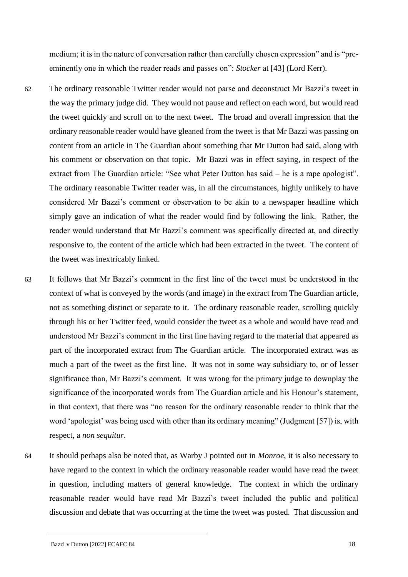medium; it is in the nature of conversation rather than carefully chosen expression" and is "preeminently one in which the reader reads and passes on": *Stocker* at [43] (Lord Kerr).

- 62 The ordinary reasonable Twitter reader would not parse and deconstruct Mr Bazzi's tweet in the way the primary judge did. They would not pause and reflect on each word, but would read the tweet quickly and scroll on to the next tweet. The broad and overall impression that the ordinary reasonable reader would have gleaned from the tweet is that Mr Bazzi was passing on content from an article in The Guardian about something that Mr Dutton had said, along with his comment or observation on that topic. Mr Bazzi was in effect saying, in respect of the extract from The Guardian article: "See what Peter Dutton has said – he is a rape apologist". The ordinary reasonable Twitter reader was, in all the circumstances, highly unlikely to have considered Mr Bazzi's comment or observation to be akin to a newspaper headline which simply gave an indication of what the reader would find by following the link. Rather, the reader would understand that Mr Bazzi's comment was specifically directed at, and directly responsive to, the content of the article which had been extracted in the tweet. The content of the tweet was inextricably linked.
- 63 It follows that Mr Bazzi's comment in the first line of the tweet must be understood in the context of what is conveyed by the words (and image) in the extract from The Guardian article, not as something distinct or separate to it. The ordinary reasonable reader, scrolling quickly through his or her Twitter feed, would consider the tweet as a whole and would have read and understood Mr Bazzi's comment in the first line having regard to the material that appeared as part of the incorporated extract from The Guardian article. The incorporated extract was as much a part of the tweet as the first line. It was not in some way subsidiary to, or of lesser significance than, Mr Bazzi's comment. It was wrong for the primary judge to downplay the significance of the incorporated words from The Guardian article and his Honour's statement, in that context, that there was "no reason for the ordinary reasonable reader to think that the word 'apologist' was being used with other than its ordinary meaning" (Judgment [57]) is, with respect, a *non sequitur*.
- 64 It should perhaps also be noted that, as Warby J pointed out in *Monroe*, it is also necessary to have regard to the context in which the ordinary reasonable reader would have read the tweet in question, including matters of general knowledge. The context in which the ordinary reasonable reader would have read Mr Bazzi's tweet included the public and political discussion and debate that was occurring at the time the tweet was posted. That discussion and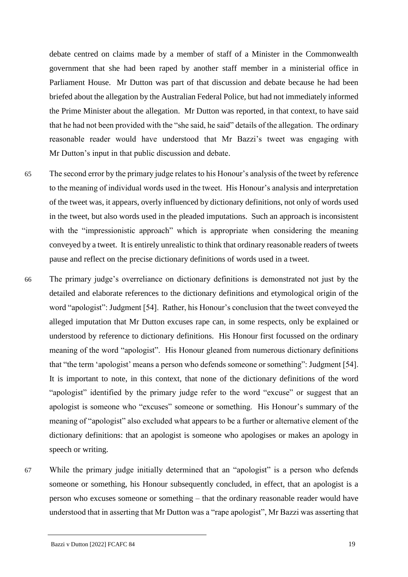debate centred on claims made by a member of staff of a Minister in the Commonwealth government that she had been raped by another staff member in a ministerial office in Parliament House. Mr Dutton was part of that discussion and debate because he had been briefed about the allegation by the Australian Federal Police, but had not immediately informed the Prime Minister about the allegation. Mr Dutton was reported, in that context, to have said that he had not been provided with the "she said, he said" details of the allegation. The ordinary reasonable reader would have understood that Mr Bazzi's tweet was engaging with Mr Dutton's input in that public discussion and debate.

- 65 The second error by the primary judge relates to his Honour's analysis of the tweet by reference to the meaning of individual words used in the tweet. His Honour's analysis and interpretation of the tweet was, it appears, overly influenced by dictionary definitions, not only of words used in the tweet, but also words used in the pleaded imputations. Such an approach is inconsistent with the "impressionistic approach" which is appropriate when considering the meaning conveyed by a tweet. It is entirely unrealistic to think that ordinary reasonable readers of tweets pause and reflect on the precise dictionary definitions of words used in a tweet.
- 66 The primary judge's overreliance on dictionary definitions is demonstrated not just by the detailed and elaborate references to the dictionary definitions and etymological origin of the word "apologist": Judgment [54]. Rather, his Honour's conclusion that the tweet conveyed the alleged imputation that Mr Dutton excuses rape can, in some respects, only be explained or understood by reference to dictionary definitions. His Honour first focussed on the ordinary meaning of the word "apologist". His Honour gleaned from numerous dictionary definitions that "the term 'apologist' means a person who defends someone or something": Judgment [54]. It is important to note, in this context, that none of the dictionary definitions of the word "apologist" identified by the primary judge refer to the word "excuse" or suggest that an apologist is someone who "excuses" someone or something. His Honour's summary of the meaning of "apologist" also excluded what appears to be a further or alternative element of the dictionary definitions: that an apologist is someone who apologises or makes an apology in speech or writing.
- 67 While the primary judge initially determined that an "apologist" is a person who defends someone or something, his Honour subsequently concluded, in effect, that an apologist is a person who excuses someone or something – that the ordinary reasonable reader would have understood that in asserting that Mr Dutton was a "rape apologist", Mr Bazzi was asserting that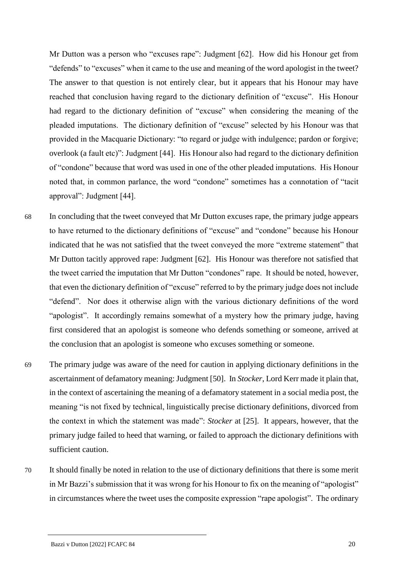Mr Dutton was a person who "excuses rape": Judgment [62]. How did his Honour get from "defends" to "excuses" when it came to the use and meaning of the word apologist in the tweet? The answer to that question is not entirely clear, but it appears that his Honour may have reached that conclusion having regard to the dictionary definition of "excuse". His Honour had regard to the dictionary definition of "excuse" when considering the meaning of the pleaded imputations. The dictionary definition of "excuse" selected by his Honour was that provided in the Macquarie Dictionary: "to regard or judge with indulgence; pardon or forgive; overlook (a fault etc)": Judgment [44]. His Honour also had regard to the dictionary definition of "condone" because that word was used in one of the other pleaded imputations. His Honour noted that, in common parlance, the word "condone" sometimes has a connotation of "tacit approval": Judgment [44].

- 68 In concluding that the tweet conveyed that Mr Dutton excuses rape, the primary judge appears to have returned to the dictionary definitions of "excuse" and "condone" because his Honour indicated that he was not satisfied that the tweet conveyed the more "extreme statement" that Mr Dutton tacitly approved rape: Judgment [62]. His Honour was therefore not satisfied that the tweet carried the imputation that Mr Dutton "condones" rape. It should be noted, however, that even the dictionary definition of "excuse" referred to by the primary judge does not include "defend". Nor does it otherwise align with the various dictionary definitions of the word "apologist". It accordingly remains somewhat of a mystery how the primary judge, having first considered that an apologist is someone who defends something or someone, arrived at the conclusion that an apologist is someone who excuses something or someone.
- 69 The primary judge was aware of the need for caution in applying dictionary definitions in the ascertainment of defamatory meaning: Judgment [50]. In *Stocker*, Lord Kerr made it plain that, in the context of ascertaining the meaning of a defamatory statement in a social media post, the meaning "is not fixed by technical, linguistically precise dictionary definitions, divorced from the context in which the statement was made": *Stocker* at [25]. It appears, however, that the primary judge failed to heed that warning, or failed to approach the dictionary definitions with sufficient caution.
- 70 It should finally be noted in relation to the use of dictionary definitions that there is some merit in Mr Bazzi's submission that it was wrong for his Honour to fix on the meaning of "apologist" in circumstances where the tweet uses the composite expression "rape apologist". The ordinary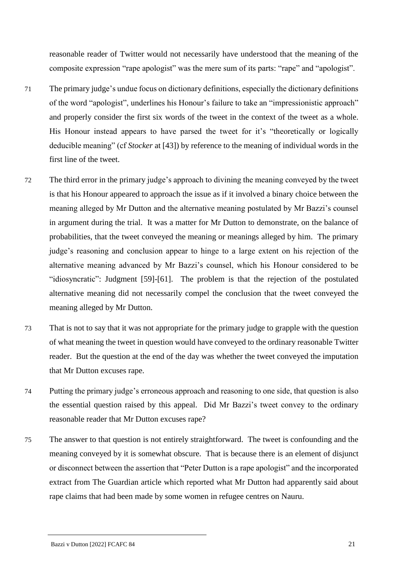reasonable reader of Twitter would not necessarily have understood that the meaning of the composite expression "rape apologist" was the mere sum of its parts: "rape" and "apologist".

- 71 The primary judge's undue focus on dictionary definitions, especially the dictionary definitions of the word "apologist", underlines his Honour's failure to take an "impressionistic approach" and properly consider the first six words of the tweet in the context of the tweet as a whole. His Honour instead appears to have parsed the tweet for it's "theoretically or logically deducible meaning" (cf *Stocker* at [43]) by reference to the meaning of individual words in the first line of the tweet.
- 72 The third error in the primary judge's approach to divining the meaning conveyed by the tweet is that his Honour appeared to approach the issue as if it involved a binary choice between the meaning alleged by Mr Dutton and the alternative meaning postulated by Mr Bazzi's counsel in argument during the trial. It was a matter for Mr Dutton to demonstrate, on the balance of probabilities, that the tweet conveyed the meaning or meanings alleged by him. The primary judge's reasoning and conclusion appear to hinge to a large extent on his rejection of the alternative meaning advanced by Mr Bazzi's counsel, which his Honour considered to be "idiosyncratic": Judgment [59]-[61]. The problem is that the rejection of the postulated alternative meaning did not necessarily compel the conclusion that the tweet conveyed the meaning alleged by Mr Dutton.
- 73 That is not to say that it was not appropriate for the primary judge to grapple with the question of what meaning the tweet in question would have conveyed to the ordinary reasonable Twitter reader. But the question at the end of the day was whether the tweet conveyed the imputation that Mr Dutton excuses rape.
- 74 Putting the primary judge's erroneous approach and reasoning to one side, that question is also the essential question raised by this appeal. Did Mr Bazzi's tweet convey to the ordinary reasonable reader that Mr Dutton excuses rape?
- 75 The answer to that question is not entirely straightforward. The tweet is confounding and the meaning conveyed by it is somewhat obscure. That is because there is an element of disjunct or disconnect between the assertion that "Peter Dutton is a rape apologist" and the incorporated extract from The Guardian article which reported what Mr Dutton had apparently said about rape claims that had been made by some women in refugee centres on Nauru.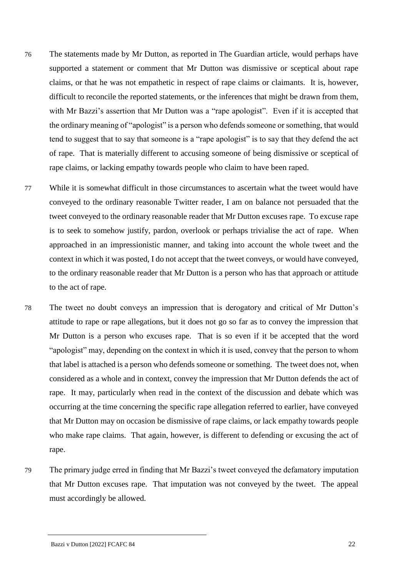- 76 The statements made by Mr Dutton, as reported in The Guardian article, would perhaps have supported a statement or comment that Mr Dutton was dismissive or sceptical about rape claims, or that he was not empathetic in respect of rape claims or claimants. It is, however, difficult to reconcile the reported statements, or the inferences that might be drawn from them, with Mr Bazzi's assertion that Mr Dutton was a "rape apologist". Even if it is accepted that the ordinary meaning of "apologist" is a person who defends someone or something, that would tend to suggest that to say that someone is a "rape apologist" is to say that they defend the act of rape. That is materially different to accusing someone of being dismissive or sceptical of rape claims, or lacking empathy towards people who claim to have been raped.
- 77 While it is somewhat difficult in those circumstances to ascertain what the tweet would have conveyed to the ordinary reasonable Twitter reader, I am on balance not persuaded that the tweet conveyed to the ordinary reasonable reader that Mr Dutton excuses rape. To excuse rape is to seek to somehow justify, pardon, overlook or perhaps trivialise the act of rape. When approached in an impressionistic manner, and taking into account the whole tweet and the context in which it was posted, I do not accept that the tweet conveys, or would have conveyed, to the ordinary reasonable reader that Mr Dutton is a person who has that approach or attitude to the act of rape.
- 78 The tweet no doubt conveys an impression that is derogatory and critical of Mr Dutton's attitude to rape or rape allegations, but it does not go so far as to convey the impression that Mr Dutton is a person who excuses rape. That is so even if it be accepted that the word "apologist" may, depending on the context in which it is used, convey that the person to whom that label is attached is a person who defends someone or something. The tweet does not, when considered as a whole and in context, convey the impression that Mr Dutton defends the act of rape. It may, particularly when read in the context of the discussion and debate which was occurring at the time concerning the specific rape allegation referred to earlier, have conveyed that Mr Dutton may on occasion be dismissive of rape claims, or lack empathy towards people who make rape claims. That again, however, is different to defending or excusing the act of rape.
- 79 The primary judge erred in finding that Mr Bazzi's tweet conveyed the defamatory imputation that Mr Dutton excuses rape. That imputation was not conveyed by the tweet. The appeal must accordingly be allowed.